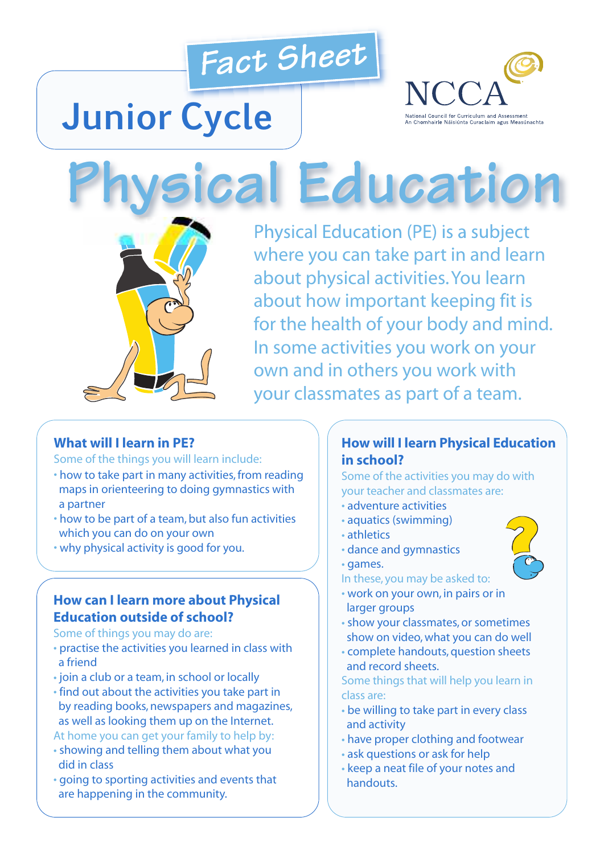

# **Junior Cycle**



**Physical Education**



Physical Education (PE) is a subject where you can take part in and learn about physical activities.You learn about how important keeping fit is for the health of your body and mind. In some activities you work on your own and in others you work with your classmates as part of a team.

#### **What will I learn in PE?**

Some of the things you will learn include:

- how to take part in many activities, from reading maps in orienteering to doing gymnastics with a partner
- how to be part of a team, but also fun activities which you can do on your own
- why physical activity is good for you.

## **How can I learn more about Physical Education outside of school?**

Some of things you may do are:

- practise the activities you learned in class with a friend
- join a club or a team, in school or locally
- find out about the activities you take part in by reading books, newspapers and magazines, as well as looking them up on the Internet.

At home you can get your family to help by:

- showing and telling them about what you did in class
- going to sporting activities and events that are happening in the community.

## **How will I learn Physical Education in school?**

Some of the activities you may do with your teacher and classmates are:

- adventure activities
- aquatics (swimming)
- athletics
- dance and gymnastics
- games.

In these, you may be asked to:

- work on your own, in pairs or in larger groups
- show your classmates, or sometimes show on video,what you can do well
- complete handouts, question sheets and record sheets.

Some things that will help you learn in class are:

- be willing to take part in every class and activity
- have proper clothing and footwear
- ask questions or ask for help
- keep a neat file of your notes and handouts.